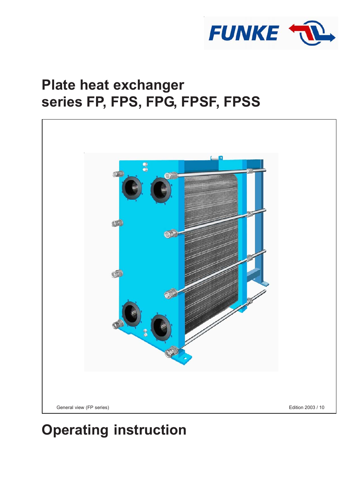

# **Plate heat exchanger series FP, FPS, FPG, FPSF, FPSS**



# **Operating instruction**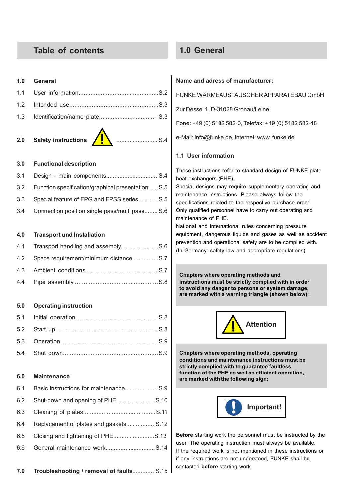## **Table of contents**

#### **1.0 General**

**2.0 Safety instructions** ......................... S.4

#### **3.0 Functional description**

| 3.1 |                                                   |  |
|-----|---------------------------------------------------|--|
| 3.2 | Function specification/graphical presentation S.5 |  |
|     | 3.3 Special feature of FPG and FPSS seriesS.5     |  |
| 3.4 | Connection position single pass/multi pass S.6    |  |

#### **4.0 Transport und Installation**

#### **5.0 Operating instruction**

#### **6.0 Maintenance**

| 6.2 | Shut-down and opening of PHE S.10      |  |
|-----|----------------------------------------|--|
|     |                                        |  |
| 6.4 | Replacement of plates and gaskets S.12 |  |
| 6.5 |                                        |  |
|     |                                        |  |

### **1.0 General**

#### **Name and adress of manufacturer:**

FUNKE WÄRMEAUSTAUSCHER APPARATEBAU GmbH

Zur Dessel 1, D-31028 Gronau/Leine

Fone: +49 (0) 5182 582-0, Telefax: +49 (0) 5182 582-48

e-Mail: info@funke.de, Internet: www. funke.de

#### **1.1 User information**

These instructions refer to standard design of FUNKE plate heat exchangers (PHE).

Special designs may require supplementary operating and maintenance instructions. Please always follow the specifications related to the respective purchase order! Only qualified personnel have to carry out operating and maintenance of PHE.

National and international rules concerning pressure equipment, dangerous liquids and gases as well as accident prevention and operational safety are to be complied with. (In Germany: safety law and appropriate regulations)

**Chapters where operating methods and instructions must be strictly complied with in order to avoid any danger to persons or system damage, are marked with a warning triangle (shown below):**



**Chapters where operating methods, operating conditions and maintenance instructions must be strictly complied with to guarantee faultless function of the PHE as well as efficient operation, are marked with the following sign:**



**Before** starting work the personnel must be instructed by the user. The operating instruction must always be available. If the required work is not mentioned in these instructions or if any instructions are not understood, FUNKE shall be contacted **before** starting work.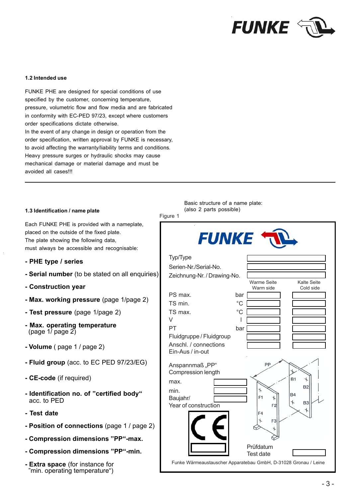

#### **1.2 Intended use**

FUNKE PHE are designed for special conditions of use specified by the customer, concerning temperature, pressure, volumetric flow and flow media and are fabricated in conformity with EC-PED 97/23, except where customers order specifications dictate otherwise. In the event of any change in design or operation from the order specification, written approval by FUNKE is necessary, to avoid affecting the warranty/liability terms and conditions. Heavy pressure surges or hydraulic shocks may cause mechanical damage or material damage and must be avoided all cases!!!

#### **1.3 Identification / name plate**

Each FUNKE PHE is provided with a nameplate, placed on the outside of the fixed plate. The plate showing the following data, must always be accessible and recognisable:

- **PHE type / series**
- **Serial number** (to be stated on all enquiries)
- **Construction year**
- **Max. working pressure** (page 1/page 2)
- **Test pressure** (page 1/page 2)
- **Max. operating temperature** (page 1/ page 2)
- **Volume** ( page 1 / page 2)
- **Fluid group** (acc. to EC PED 97/23/EG)
- **CE-code** (if required)
- **Identification no. of "certified body"** acc. to PED
- **Test date**
- **Position of connections** (page 1 / page 2)
- **Compression dimensions "PP"-max.**
- **Compression dimensions "PP"-min.**
- **Extra space** (for instance for "min. operating temperature")

Basic structure of a name plate: (also 2 parts possible)

| Figure 1                                                        |              |                                  |                                 |
|-----------------------------------------------------------------|--------------|----------------------------------|---------------------------------|
|                                                                 | <b>FUNKE</b> |                                  |                                 |
| Typ/Type                                                        |              |                                  |                                 |
| Serien-Nr./Serial-No.                                           |              |                                  |                                 |
| Zeichnung-Nr. / Drawing-No.                                     |              |                                  |                                 |
|                                                                 |              | <b>Warme Seite</b><br>Warm side  | <b>Kalte Seite</b><br>Cold side |
| PS max.                                                         | bar          |                                  |                                 |
| TS min.                                                         | $^{\circ}C$  |                                  |                                 |
| TS max.                                                         | $^{\circ}C$  |                                  |                                 |
| V                                                               |              |                                  |                                 |
| PT                                                              | bar          |                                  |                                 |
| Fluidgruppe / Fluidgroup                                        |              |                                  |                                 |
| Anschl. / connections                                           |              |                                  |                                 |
| Ein-Aus / in-out                                                |              |                                  |                                 |
| Anspannmaß "PP"                                                 |              | PP                               |                                 |
| Compression length                                              |              |                                  |                                 |
| max.                                                            |              |                                  | <b>B1</b><br><b>B2</b>          |
| min.                                                            |              |                                  | <b>B4</b>                       |
| Baujahr/                                                        |              | F1                               | B3                              |
| Year of construction                                            |              | F <sub>2</sub><br>F <sub>4</sub> |                                 |
|                                                                 |              | F3<br>ӊ                          |                                 |
|                                                                 |              |                                  |                                 |
|                                                                 |              |                                  |                                 |
|                                                                 |              | Prüfdatum                        |                                 |
|                                                                 |              | <b>Test date</b>                 |                                 |
| Funke Wärmeaustauscher Apparatebau GmbH, D-31028 Gronau / Leine |              |                                  |                                 |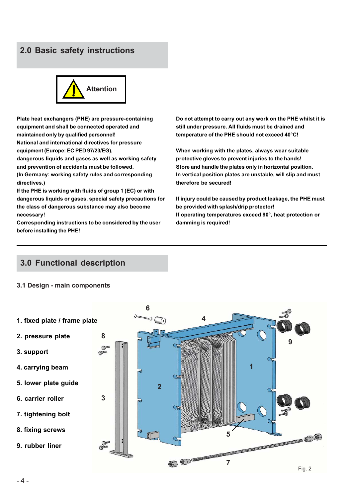# **2.0 Basic safety instructions**



**Plate heat exchangers (PHE) are pressure-containing equipment and shall be connected operated and maintained only by qualified personnel! National and international directives for pressure**

**equipment (Europe: EC PED 97/23/EG),**

**dangerous liquids and gases as well as working safety and prevention of accidents must be followed.**

**(In Germany: working safety rules and corresponding directives.)**

**If the PHE is working with fluids of group 1 (EC) or with dangerous liquids or gases, special safety precautions for the class of dangerous substance may also become necessary!**

**Corresponding instructions to be considered by the user before installing the PHE!**

**Do not attempt to carry out any work on the PHE whilst it is still under pressure. All fluids must be drained and temperature of the PHE should not exceed 40°C!**

**When working with the plates, always wear suitable protective gloves to prevent injuries to the hands! Store and handle the plates only in horizontal position. In vertical position plates are unstable, will slip and must therefore be secured!**

**If injury could be caused by product leakage, the PHE must be provided with splash/drip protector! If operating temperatures exceed 90°, heat protection or damming is required!**

# **3.0 Functional description**

#### **3.1 Design - main components**

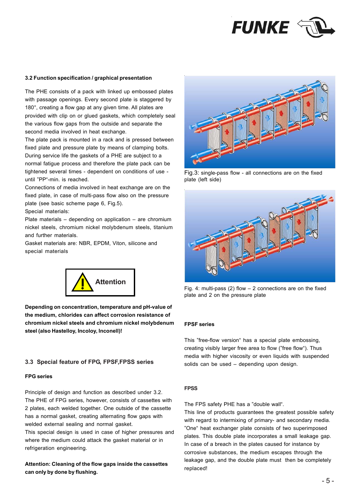

#### **3.2 Function specification / graphical presentation**

The PHE consists of a pack with linked up embossed plates with passage openings. Every second plate is staggered by 180°, creating a flow gap at any given time. All plates are provided with clip on or glued gaskets, which completely seal the various flow gaps from the outside and separate the second media involved in heat exchange.

The plate pack is mounted in a rack and is pressed between fixed plate and pressure plate by means of clamping bolts. During service life the gaskets of a PHE are subject to a normal fatigue process and therefore the plate pack can be tightened several times - dependent on conditions of use until "PP"-min. is reached.

Connections of media involved in heat exchange are on the fixed plate, in case of multi-pass flow also on the pressure plate (see basic scheme page 6, Fig.5).

Special materials:

Plate materials – depending on application – are chromium nickel steels, chromium nickel molybdenum steels, titanium and further materials.

Gasket materials are: NBR, EPDM, Viton, silicone and special materials



**Depending on concentration, temperature and pH-value of the medium, chlorides can affect corrosion resistance of chromium nickel steels and chromium nickel molybdenum steel (also Hastelloy, Incoloy, Inconell)!**

#### **3.3 Special feature of FPG, FPSF,FPSS series**

#### **FPG series**

Principle of design and function as described under 3.2. The PHE of FPG series, however, consists of cassettes with 2 plates, each welded together. One outside of the cassette has a normal gasket, creating alternating flow gaps with welded external sealing and normal gasket. This special design is used in case of higher pressures and where the medium could attack the gasket material or in refrigeration engineering.

**Attention: Cleaning of the flow gaps inside the cassettes can only by done by flushing.**



Fig.3: single-pass flow - all connections are on the fixed plate (left side)



Fig. 4: multi-pass (2) flow – 2 connections are on the fixed plate and 2 on the pressure plate

#### **FPSF series**

This "free-flow version" has a special plate embossing, creating visibly larger free area to flow ("free flow"). Thus media with higher viscosity or even liquids with suspended solids can be used – depending upon design.

#### **FPSS**

The FPS safety PHE has a "double wall".

This line of products guarantees the greatest possible safety with regard to intermixing of primary- and secondary media. "One" heat exchanger plate consists of two superimposed plates. This double plate incorporates a small leakage gap. In case of a breach in the plates caused for instance by corrosive substances, the medium escapes through the leakage gap, and the double plate must then be completely replaced!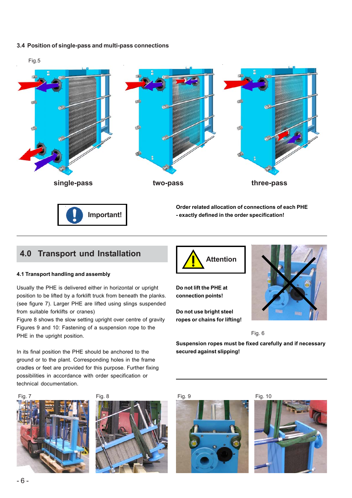#### **3.4 Position of single-pass and multi-pass connections**



# **4.0 Transport und Installation**

#### **4.1 Transport handling and assembly**

Usually the PHE is delivered either in horizontal or upright position to be lifted by a forklift truck from beneath the planks. (see figure 7). Larger PHE are lifted using slings suspended from suitable forklifts or cranes)

Figure 8 shows the slow setting upright over centre of gravity Figures 9 and 10: Fastening of a suspension rope to the PHE in the upright position.

In its final position the PHE should be anchored to the ground or to the plant. Corresponding holes in the frame cradles or feet are provided for this purpose. Further fixing possibilities in accordance with order specification or technical documentation.





**Attention**

**Do not lift the PHE at connection points!**

**Do not use bright steel ropes or chains for lifting!**



Fig. 6

**Suspension ropes must be fixed carefully and if necessary secured against slipping!**



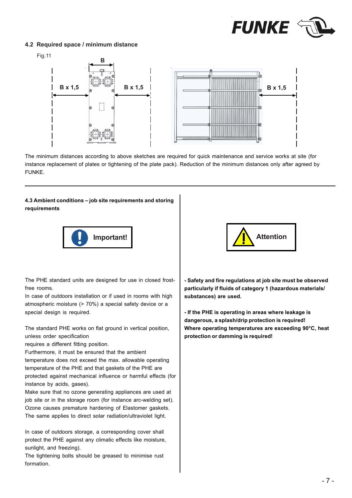

#### **4.2 Required space / minimum distance**



The minimum distances according to above sketches are required for quick maintenance and service works at site (for instance replacement of plates or tightening of the plate pack). Reduction of the minimum distances only after agreed by FUNKE.

#### **4.3 Ambient conditions – job site requirements and storing requirements**



The PHE standard units are designed for use in closed frostfree rooms.

In case of outdoors installation or if used in rooms with high atmospheric moisture (> 70%) a special safety device or a special design is required.

The standard PHE works on flat ground in vertical position, unless order specification

requires a different fitting position.

Furthermore, it must be ensured that the ambient temperature does not exceed the max. allowable operating temperature of the PHE and that gaskets of the PHE are protected against mechanical influence or harmful effects (for instance by acids, gases).

Make sure that no ozone generating appliances are used at job site or in the storage room (for instance arc-welding set). Ozone causes premature hardening of Elastomer gaskets. The same applies to direct solar radiation/ultraviolet light.

In case of outdoors storage, a corresponding cover shall protect the PHE against any climatic effects like moisture, sunlight, and freezing).

The tightening bolts should be greased to minimise rust formation.



**- Safety and fire regulations at job site must be observed particularly if fluids of category 1 (hazardous materials/ substances) are used.**

**- If the PHE is operating in areas where leakage is dangerous, a splash/drip protection is required! Where operating temperatures are exceeding 90°C, heat protection or damming is required!**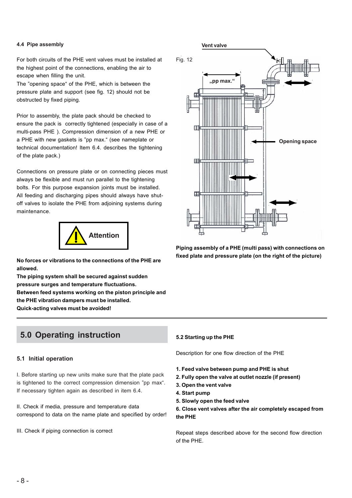For both circuits of the PHE vent valves must be installed at the highest point of the connections, enabling the air to escape when filling the unit.

The "opening space" of the PHE, which is between the pressure plate and support (see fig. 12) should not be obstructed by fixed piping.

Prior to assembly, the plate pack should be checked to ensure the pack is correctly tightened (especially in case of a multi-pass PHE ). Compression dimension of a new PHE or a PHE with new gaskets is "pp max." (see nameplate or technical documentation! Item 6.4. describes the tightening of the plate pack.)

Connections on pressure plate or on connecting pieces must always be flexible and must run parallel to the tightening bolts. For this purpose expansion joints must be installed. All feeding and discharging pipes should always have shutoff valves to isolate the PHE from adjoining systems during maintenance.



**allowed.**

**The piping system shall be secured against sudden pressure surges and temperature fluctuations. Between feed systems working on the piston principle and the PHE vibration dampers must be installed. Quick-acting valves must be avoided!**

# **5.0 Operating instruction**

#### **5.1 Initial operation**

I. Before starting up new units make sure that the plate pack is tightened to the correct compression dimension "pp max". If necessary tighten again as described in item 6.4.

II. Check if media, pressure and temperature data correspond to data on the name plate and specified by order!

III. Check if piping connection is correct



**Piping assembly of a PHE (multi pass) with connections on fixed plate and pressure plate (on the right of the picture) No forces or vibrations to the connections of the PHE are**

#### **5.2 Starting up the PHE**

Description for one flow direction of the PHE

- **1. Feed valve between pump and PHE is shut**
- **2. Fully open the valve at outlet nozzle (if present)**
- **3. Open the vent valve**
- **4. Start pump**
- **5. Slowly open the feed valve**

**6. Close vent valves after the air completely escaped from the PHE**

Repeat steps described above for the second flow direction of the PHE.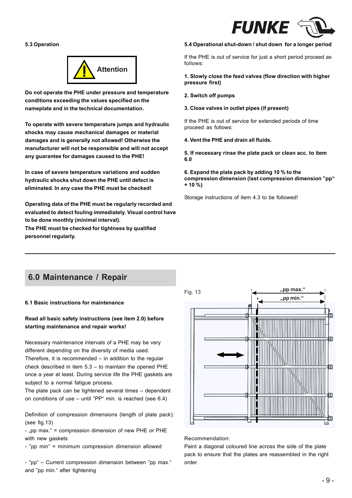

#### **5.3 Operation**



**Do not operate the PHE under pressure and temperature conditions exceeding the values specified on the nameplate and in the technical documentation.**

**To operate with severe temperature jumps and hydraulic shocks may cause mechanical damages or material damages and is generally not allowed! Otherwise the manufacturer will not be responsible and will not accept any guarantee for damages caused to the PHE!**

**In case of severe temperature variations and sudden hydraulic shocks shut down the PHE until defect is eliminated. In any case the PHE must be checked!**

**Operating data of the PHE must be regularly recorded and evaluated to detect fouling immediately. Visual control have to be done monthly (minimal interval).**

**The PHE must be checked for tightness by qualified personnel regularly.**

#### **5.4 Operational shut-down / shut down for a longer period**

If the PHE is out of service for just a short period proceed as follows:

#### **1. Slowly close the feed valves (flow direction with higher pressure first)**

#### **2. Switch off pumps**

#### **3. Close valves in outlet pipes (if present)**

If the PHE is out of service for extended periods of time proceed as follows:

#### **4. Vent the PHE and drain all fluids.**

**5. If necessary rinse the plate pack or clean acc. to item 6.0**

**6. Expand the plate pack by adding 10 % to the compression dimension (last compression dimension "pp" + 10 %)**

Storage instructions of item 4.3 to be followed!

# **6.0 Maintenance / Repair**

#### **6.1 Basic instructions for maintenance**

#### **Read all basic safety instructions (see item 2.0) before starting maintenance and repair works!**

Necessary maintenance intervals of a PHE may be very different depending on the diversity of media used. Therefore, it is recommended – in addition to the regular check described in item 5.3 – to maintain the opened PHE once a year at least. During service life the PHE gaskets are subject to a normal fatigue process.

The plate pack can be tightened several times – dependent on conditions of use – until "PP" min. is reached (see 6.4)

Definition of compression dimensions (length of plate pack): (see fig.13)

- "pp max." = compression dimension of new PHE or PHE with new gaskets

- "pp min" = minimum compression dimension allowed

- "pp" – Current compression dimension between "pp max." and "pp min." after tightening



#### Recommendation:

Paint a diagonal coloured line across the side of the plate pack to ensure that the plates are reassembled in the right order.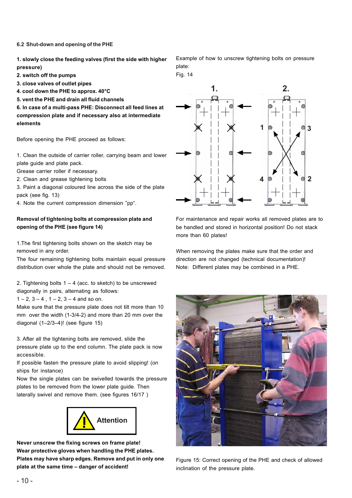**6.2 Shut-down and opening of the PHE**

**1. slowly close the feeding valves (first the side with higher pressure)**

**2. switch off the pumps**

**3. close valves of outlet pipes**

**4. cool down the PHE to approx. 40°C**

**5. vent the PHE and drain all fluid channels**

**6. In case of a multi-pass PHE: Disconnect all feed lines at compression plate and if necessary also at intermediate elements**

Before opening the PHE proceed as follows:

1. Clean the outside of carrier roller, carrying beam and lower plate guide and plate pack.

Grease carrier roller if necessary.

2. Clean and grease tightening bolts

3. Paint a diagonal coloured line across the side of the plate pack (see fig. 13)

4. Note the current compression dimension "pp".

#### **Removal of tightening bolts at compression plate and opening of the PHE (see figure 14)**

1.The first tightening bolts shown on the sketch may be removed in any order.

The four remaining tightening bolts maintain equal pressure distribution over whole the plate and should not be removed.

2. Tightening bolts  $1 - 4$  (acc. to sketch) to be unscrewed diagonally in pairs, alternating as follows:

 $1 - 2$ ,  $3 - 4$ ,  $1 - 2$ ,  $3 - 4$  and so on.

Make sure that the pressure plate does not tilt more than 10 mm over the width (1-3/4-2) and more than 20 mm over the diagonal (1–2/3–4)! (see figure 15)

3. After all the tightening bolts are removed, slide the pressure plate up to the end column. The plate pack is now accessible.

If possible fasten the pressure plate to avoid slipping! (on ships for instance)

Now the single plates can be swivelled towards the pressure plates to be removed from the lower plate guide. Then laterally swivel and remove them. (see figures 16/17 )



**Never unscrew the fixing screws on frame plate! Wear protective gloves when handling the PHE plates. Plates may have sharp edges. Remove and put in only one plate at the same time – danger of accident!**

Example of how to unscrew tightening bolts on pressure plate:

Fig. 14



For maintenance and repair works all removed plates are to be handled and stored in horizontal position! Do not stack more than 60 plates!

When removing the plates make sure that the order and direction are not changed (technical documentation)! Note: Different plates may be combined in a PHE.



Figure 15: Correct opening of the PHE and check of allowed inclination of the pressure plate.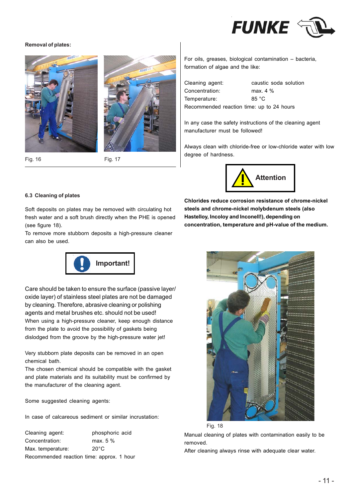

#### **Removal of plates:**





Fig. 16 Fig. 17

For oils, greases, biological contamination – bacteria, formation of algae and the like:

Cleaning agent: caustic soda solution Concentration: max. 4 % Temperature: 85 °C Recommended reaction time: up to 24 hours

In any case the safety instructions of the cleaning agent manufacturer must be followed!

Always clean with chloride-free or low-chloride water with low degree of hardness.



#### **6.3 Cleaning of plates**

Soft deposits on plates may be removed with circulating hot fresh water and a soft brush directly when the PHE is opened (see figure 18).

To remove more stubborn deposits a high-pressure cleaner can also be used.



**Chlorides reduce corrosion resistance of chrome-nickel steels and chrome-nickel molybdenum steels (also Hastelloy, Incoloy and Inconell!), depending on concentration, temperature and pH-value of the medium.**



Care should be taken to ensure the surface (passive layer/ oxide layer) of stainless steel plates are not be damaged by cleaning. Therefore, abrasive cleaning or polishing agents and metal brushes etc. should not be used! When using a high-pressure cleaner, keep enough distance from the plate to avoid the possibility of gaskets being dislodged from the groove by the high-pressure water jet!

Very stubborn plate deposits can be removed in an open chemical bath.

The chosen chemical should be compatible with the gasket and plate materials and its suitability must be confirmed by the manufacturer of the cleaning agent.

Some suggested cleaning agents:

In case of calcareous sediment or similar incrustation:

Cleaning agent: phosphoric acid Concentration: max. 5 % Max. temperature: 20°C Recommended reaction time: approx. 1 hour



Manual cleaning of plates with contamination easily to be removed.

After cleaning always rinse with adequate clear water.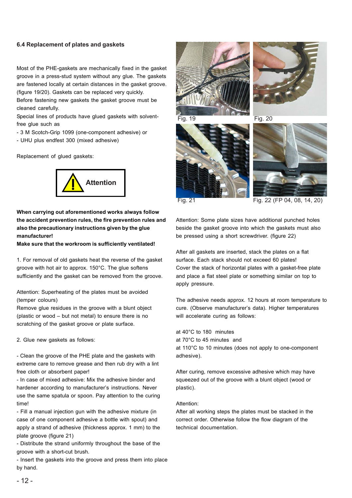#### **6.4 Replacement of plates and gaskets**

Most of the PHE-gaskets are mechanically fixed in the gasket groove in a press-stud system without any glue. The gaskets are fastened locally at certain distances in the gasket groove. (figure 19/20). Gaskets can be replaced very quickly.

Before fastening new gaskets the gasket groove must be cleaned carefully.

Special lines of products have glued gaskets with solventfree glue such as

- 3 M Scotch-Grip 1099 (one-component adhesive) or
- UHU plus endfest 300 (mixed adhesive)

Replacement of glued gaskets:



### **When carrying out aforementioned works always follow the accident prevention rules, the fire prevention rules and also the precautionary instructions given by the glue manufacturer!**

**Make sure that the workroom is sufficiently ventilated!**

1. For removal of old gaskets heat the reverse of the gasket groove with hot air to approx. 150°C. The glue softens sufficiently and the gasket can be removed from the groove.

Attention: Superheating of the plates must be avoided (temper colours)

Remove glue residues in the groove with a blunt object (plastic or wood – but not metal) to ensure there is no scratching of the gasket groove or plate surface.

2. Glue new gaskets as follows:

- Clean the groove of the PHE plate and the gaskets with extreme care to remove grease and then rub dry with a lint free cloth or absorbent paper!

- In case of mixed adhesive: Mix the adhesive binder and hardener according to manufacturer's instructions. Never use the same spatula or spoon. Pay attention to the curing time!

- Fill a manual injection gun with the adhesive mixture (in case of one component adhesive a bottle with spout) and apply a strand of adhesive (thickness approx. 1 mm) to the plate groove (figure 21)

- Distribute the strand uniformly throughout the base of the groove with a short-cut brush.

- Insert the gaskets into the groove and press them into place by hand.









Fig. 21 Fig. 22 (FP 04, 08, 14, 20)

Attention: Some plate sizes have additional punched holes beside the gasket groove into which the gaskets must also be pressed using a short screwdriver. (figure 22)

After all gaskets are inserted, stack the plates on a flat surface. Each stack should not exceed 60 plates! Cover the stack of horizontal plates with a gasket-free plate and place a flat steel plate or something similar on top to apply pressure.

The adhesive needs approx. 12 hours at room temperature to cure. (Observe manufacturer's data). Higher temperatures will accelerate curing as follows:

at 40°C to 180 minutes

at 70°C to 45 minutes and at 110°C to 10 minutes (does not apply to one-component adhesive).

After curing, remove excessive adhesive which may have squeezed out of the groove with a blunt object (wood or plastic).

#### Attention:

After all working steps the plates must be stacked in the correct order. Otherwise follow the flow diagram of the technical documentation.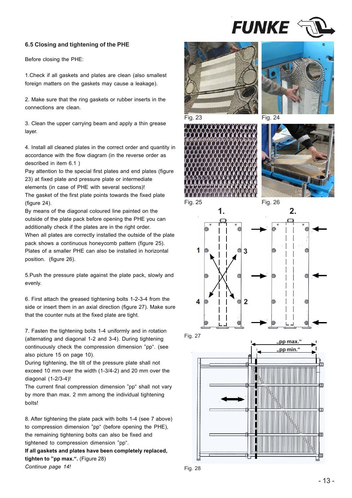

#### **6.5 Closing and tightening of the PHE**

Before closing the PHE:

1.Check if all gaskets and plates are clean (also smallest foreign matters on the gaskets may cause a leakage).

2. Make sure that the ring gaskets or rubber inserts in the connections are clean.

3. Clean the upper carrying beam and apply a thin grease layer.

4. Install all cleaned plates in the correct order and quantity in accordance with the flow diagram (in the reverse order as described in item 6.1 )

Pay attention to the special first plates and end plates (figure) 23) at fixed plate and pressure plate or intermediate elements (in case of PHE with several sections)! The gasket of the first plate points towards the fixed plate (figure 24).

By means of the diagonal coloured line painted on the outside of the plate pack before opening the PHE you can additionally check if the plates are in the right order. When all plates are correctly installed the outside of the plate pack shows a continuous honeycomb pattern (figure 25). Plates of a smaller PHE can also be installed in horizontal position. (figure 26).

5.Push the pressure plate against the plate pack, slowly and evenly.

6. First attach the greased tightening bolts 1-2-3-4 from the side or insert them in an axial direction (figure 27). Make sure that the counter nuts at the fixed plate are tight.

7. Fasten the tightening bolts 1-4 uniformly and in rotation (alternating and diagonal 1-2 and 3-4). During tightening continuously check the compression dimension "pp". (see also picture 15 on page 10).

During tightening, the tilt of the pressure plate shall not exceed 10 mm over the width (1-3/4-2) and 20 mm over the diagonal (1-2/3-4)!

The current final compression dimension "pp" shall not vary by more than max. 2 mm among the individual tightening bolts!

8. After tightening the plate pack with bolts 1-4 (see 7 above) to compression dimension "pp" (before opening the PHE), the remaining tightening bolts can also be fixed and tightened to compression dimension "pp".

**If all gaskets and plates have been completely replaced, tighten to "pp max.".** (Figure 28) *Continue page 14!*





Fig. 23 Fig. 24





Fig. 25 Fig. 26



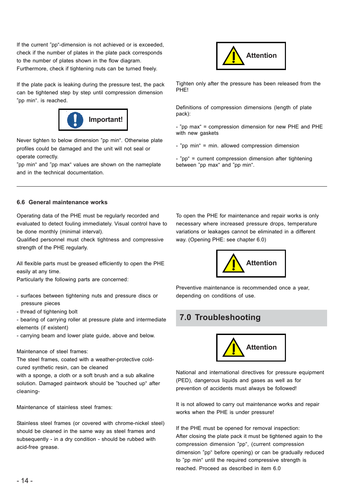If the current "pp"-dimension is not achieved or is exceeded, check if the number of plates in the plate pack corresponds to the number of plates shown in the flow diagram. Furthermore, check if tightening nuts can be turned freely.

If the plate pack is leaking during the pressure test, the pack can be tightened step by step until compression dimension "pp min". is reached.



Never tighten to below dimension "pp min". Otherwise plate profiles could be damaged and the unit will not seal or operate correctly.

"pp min" and "pp max" values are shown on the nameplate and in the technical documentation.



Tighten only after the pressure has been released from the PHE!

Definitions of compression dimensions (length of plate pack):

- "pp max" = compression dimension for new PHE and PHE with new gaskets

- "pp min" = min. allowed compression dimension

- "pp" = current compression dimension after tightening between "pp max" and "pp min".

#### **6.6 General maintenance works**

Operating data of the PHE must be regularly recorded and evaluated to detect fouling immediately. Visual control have to be done monthly (minimal interval).

Qualified personnel must check tightness and compressive strength of the PHE regularly.

All flexible parts must be greased efficiently to open the PHE easily at any time.

Particularly the following parts are concerned:

- surfaces between tightening nuts and pressure discs or pressure pieces
- thread of tightening bolt
- bearing of carrying roller at pressure plate and intermediate elements (if existent)

- carrying beam and lower plate guide, above and below.

#### Maintenance of steel frames:

The steel frames, coated with a weather-protective coldcured synthetic resin, can be cleaned

with a sponge, a cloth or a soft brush and a sub alkaline solution. Damaged paintwork should be "touched up" after cleaning-

Maintenance of stainless steel frames:

Stainless steel frames (or covered with chrome-nickel steel) should be cleaned in the same way as steel frames and subsequently - in a dry condition - should be rubbed with acid-free grease.

To open the PHE for maintenance and repair works is only necessary where increased pressure drops, temperature variations or leakages cannot be eliminated in a different way. (Opening PHE: see chapter 6.0)



Preventive maintenance is recommended once a year, depending on conditions of use.

# **7.0 Troubleshooting**



National and international directives for pressure equipment (PED), dangerous liquids and gases as well as for prevention of accidents must always be followed!

It is not allowed to carry out maintenance works and repair works when the PHE is under pressure!

If the PHE must be opened for removal inspection: After closing the plate pack it must be tightened again to the compression dimension "pp", (current compression dimension "pp" before opening) or can be gradually reduced to "pp min" until the required compressive strength is reached. Proceed as described in item 6.0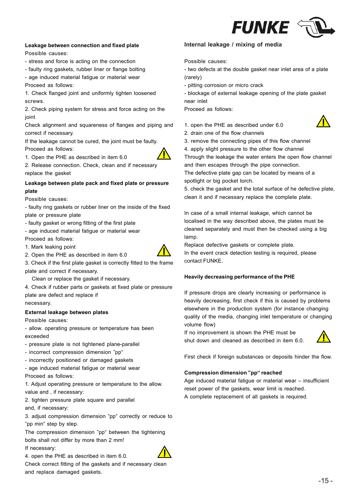

#### **Leakage between connection and fixed plate**

Possible causes:

- stress and force is acting on the connection
- faulty ring gaskets, rubber liner or flange bolting
- age induced material fatigue or material wear

Proceed as follows:

1. Check flanged joint and uniformly tighten loosened screws.

2. Check piping system for stress and force acting on the joint

Check alignment and squareness of flanges and piping and correct if necessary.

If the leakage cannot be cured, the joint must be faulty. Proceed as follows:

1. Open the PHE as described in item 6.0



2. Release connection. Check, clean and if necessary replace the gasket

#### **Leakage between plate pack and fixed plate or pressure plate**

Possible causes:

- faulty ring gaskets or rubber liner on the inside of the fixed plate or pressure plate

- faulty gasket or wrong fitting of the first plate

- age induced material fatigue or material wear

Proceed as follows:

1. Mark leaking point



3. Check if the first plate gasket is correctly fitted to the frame plate and correct if necessary.

Clean or replace the gasket if necessary.

2. Open the PHE as described in item 6.0

4. Check if rubber parts or gaskets at fixed plate or pressure plate are defect and replace if necessary.

**External leakage between plates**

Possible causes:

- allow. operating pressure or temperature has been exceeded

- pressure plate is not tightened plane-parallel

- incorrect compression dimension "pp"
- incorrectly positioned or damaged gaskets
- age induced material fatigue or material wear Proceed as follows:

1. Adjust operating pressure or temperature to the allow. value and , if necessary:

2. tighten pressure plate square and parallel and, if necessary:

3. adjust compression dimension "pp" correctly or reduce to "pp min" step by step.

The compression dimension "pp" between the tightening bolts shall not differ by more than 2 mm! If necessary:

4. open the PHE as described in item 6.0.

Check correct fitting of the gaskets and if necessary clean and replace damaged gaskets.

#### **Internal leakage / mixing of media**

Possible causes:

- two defects at the double gasket near inlet area of a plate (rarely)
- pitting corrosion or micro crack
- blockage of external leakage opening of the plate gasket
- near inlet

Proceed as follows:



- 1. open the PHE as described under 6.0 2. drain one of the flow channels
- 3. remove the connecting pipes of this flow channel
- 4. apply slight pressure to the other flow channel

Through the leakage the water enters the open flow channel and then escapes through the pipe connection.

The defective plate gap can be located by means of a spotlight or big pocket torch.

5. check the gasket and the total surface of he defective plate, clean it and if necessary replace the complete plate.

In case of a small internal leakage, which cannot be localised in the way described above, the plates must be cleaned separately and must then be checked using a big lamp.

Replace defective gaskets or complete plate. In the event crack detection testing is required, please contact FUNKE.

#### **Heavily decreasing performance of the PHE**

If pressure drops are clearly increasing or performance is heavily decreasing, first check if this is caused by problems elsewhere in the production system (for instance changing quality of the media, changing inlet temperature or changing volume flow)

If no improvement is shown the PHE must be shut down and cleaned as described in item 6.0.



First check if foreign substances or deposits hinder the flow.

#### **Compression dimension "pp" reached**

Age induced material fatigue or material wear – insufficient reset power of the gaskets, wear limit is reached. A complete replacement of all gaskets is required.